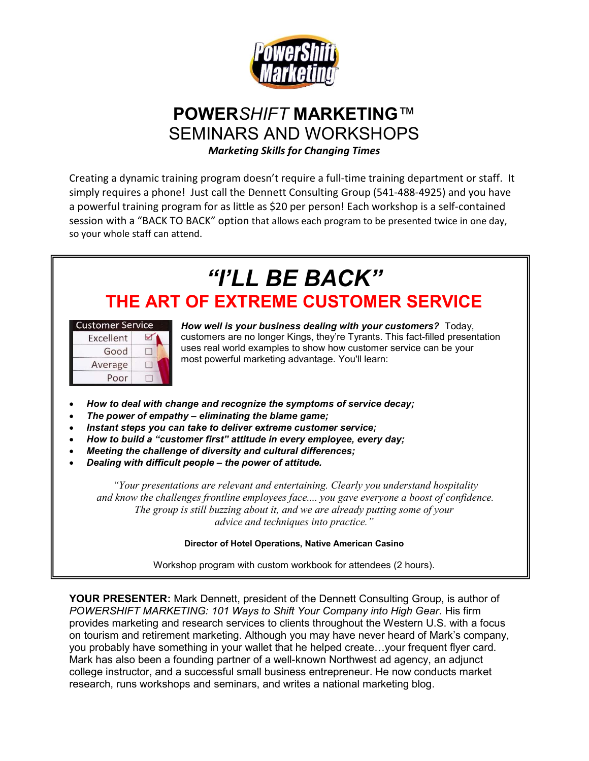

# POWERSHIFT MARKETING™ SEMINARS AND WORKSHOPS

Marketing Skills for Changing Times

Creating a dynamic training program doesn't require a full-time training department or staff. It simply requires a phone! Just call the Dennett Consulting Group (541-488-4925) and you have a powerful training program for as little as \$20 per person! Each workshop is a self-contained session with a "BACK TO BACK" option that allows each program to be presented twice in one day, so your whole staff can attend.

# "I'LL BE BACK" THE ART OF EXTREME CUSTOMER SERVICE

| <b>Customer Service</b> |  |
|-------------------------|--|
| Excellent               |  |
| Good                    |  |
| Average                 |  |
| Poor                    |  |

How well is your business dealing with your customers? Today, customers are no longer Kings, they're Tyrants. This fact-filled presentation uses real world examples to show how customer service can be your most powerful marketing advantage. You'll learn:

- How to deal with change and recognize the symptoms of service decay;
- The power of empathy eliminating the blame game;
- Instant steps you can take to deliver extreme customer service;
- How to build a "customer first" attitude in every employee, every day;
- Meeting the challenge of diversity and cultural differences;
- Dealing with difficult people the power of attitude.

"Your presentations are relevant and entertaining. Clearly you understand hospitality and know the challenges frontline employees face.... you gave everyone a boost of confidence. The group is still buzzing about it, and we are already putting some of your advice and techniques into practice."

#### Director of Hotel Operations, Native American Casino

Workshop program with custom workbook for attendees (2 hours).

YOUR PRESENTER: Mark Dennett, president of the Dennett Consulting Group, is author of POWERSHIFT MARKETING: 101 Ways to Shift Your Company into High Gear. His firm provides marketing and research services to clients throughout the Western U.S. with a focus on tourism and retirement marketing. Although you may have never heard of Mark's company, you probably have something in your wallet that he helped create…your frequent flyer card. Mark has also been a founding partner of a well-known Northwest ad agency, an adjunct college instructor, and a successful small business entrepreneur. He now conducts market research, runs workshops and seminars, and writes a national marketing blog.